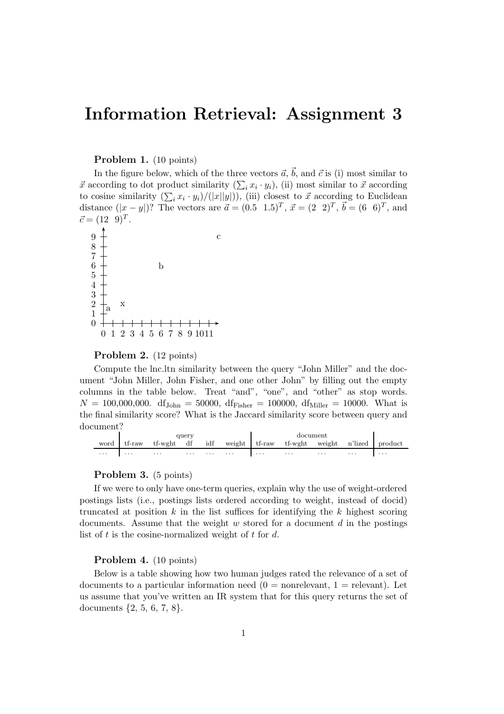# Information Retrieval: Assignment 3

## Problem 1. (10 points)

In the figure below, which of the three vectors  $\vec{a}, \vec{b}$ , and  $\vec{c}$  is (i) most similar to  $\vec{x}$  according to dot product similarity  $(\sum_i x_i \cdot y_i)$ , (ii) most similar to  $\vec{x}$  according to cosine similarity  $(\sum_i x_i \cdot y_i)/(|x||y|)$ , (iii) closest to  $\vec{x}$  according to Euclidean distance  $(|x-y|)$ ? The vectors are  $\vec{a} = (0.5 \ 1.5)^T$ ,  $\vec{x} = (2 \ 2)^T$ ,  $\vec{b} = (6 \ 6)^T$ , and  $\vec{c} = (12 \ 9)^T.$ 



### Problem 2. (12 points)

Compute the lnc.ltn similarity between the query "John Miller" and the document "John Miller, John Fisher, and one other John" by filling out the empty columns in the table below. Treat "and", "one", and "other" as stop words.  $N = 100,000,000$ . df<sub>John</sub> = 50000, df<sub>Fisher</sub> = 100000, df<sub>Miller</sub> = 10000. What is the final similarity score? What is the Jaccard similarity score between query and document?

|          |             |                                                             | auerv                           |   |          |          |                               |          |          |   |
|----------|-------------|-------------------------------------------------------------|---------------------------------|---|----------|----------|-------------------------------|----------|----------|---|
|          | word tf-raw | tf-wght df idf weight tf-raw tf-wght weight n'lized product |                                 |   |          |          |                               |          |          |   |
| $\cdots$ | $\cdots$    | $\cdots$                                                    | the contract of the contract of | . | $\cdots$ | $\cdots$ | <b><i>Contract States</i></b> | $\cdots$ | $\cdots$ | . |

#### Problem 3. (5 points)

If we were to only have one-term queries, explain why the use of weight-ordered postings lists (i.e., postings lists ordered according to weight, instead of docid) truncated at position  $k$  in the list suffices for identifying the  $k$  highest scoring documents. Assume that the weight  $w$  stored for a document  $d$  in the postings list of t is the cosine-normalized weight of t for  $d$ .

## Problem 4. (10 points)

Below is a table showing how two human judges rated the relevance of a set of documents to a particular information need  $(0 =$  nonrelevant,  $1 =$  relevant). Let us assume that you've written an IR system that for this query returns the set of documents {2, 5, 6, 7, 8}.